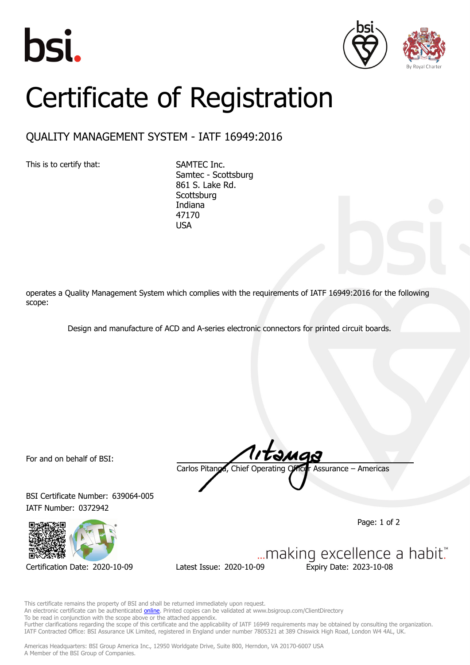





## Certificate of Registration

## QUALITY MANAGEMENT SYSTEM - IATF 16949:2016

This is to certify that: SAMTEC Inc.

Samtec - Scottsburg 861 S. Lake Rd. **Scottsburg** Indiana 47170 USA

operates a Quality Management System which complies with the requirements of IATF 16949:2016 for the following scope:

Design and manufacture of ACD and A-series electronic connectors for printed circuit boards.

For and on behalf of BSI:

BSI Certificate Number: 639064-005 IATF Number: 0372942



Carlos Pitanga, Chief Operating Officer Assurance – Americas

Page: 1 of 2

... making excellence a habit." Certification Date: 2020-10-09 Latest Issue: 2020-10-09 Expiry Date: 2023-10-08

This certificate remains the property of BSI and shall be returned immediately upon request. An electronic certificate can be authenticated **[online](https://pgplus.bsigroup.com/CertificateValidation/CertificateValidator.aspx?CertificateNumber=TS+639064-005&ReIssueDate=09%2f10%2f2020&Template=inc)**. Printed copies can be validated at www.bsigroup.com/ClientDirectory To be read in conjunction with the scope above or the attached appendix. Further clarifications regarding the scope of this certificate and the applicability of IATF 16949 requirements may be obtained by consulting the organization. IATF Contracted Office: BSI Assurance UK Limited, registered in England under number 7805321 at 389 Chiswick High Road, London W4 4AL, UK.

Americas Headquarters: BSI Group America Inc., 12950 Worldgate Drive, Suite 800, Herndon, VA 20170-6007 USA A Member of the BSI Group of Companies.